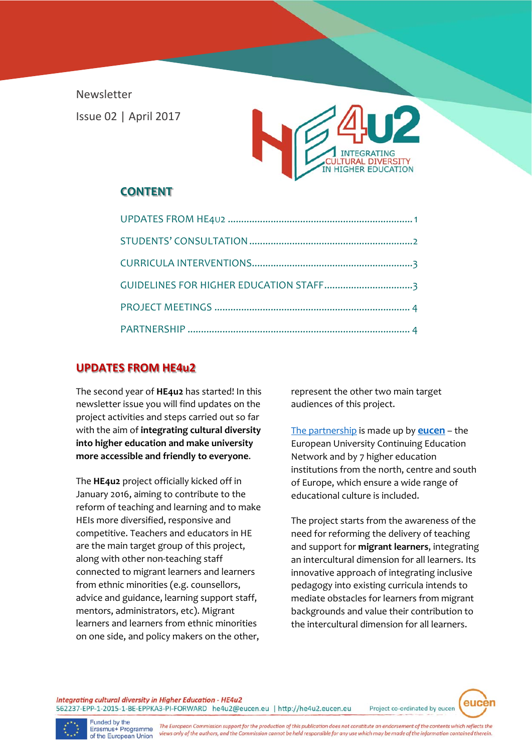Newsletter Issue 02 | April 2017



# **CONTENT**

## **UPDATES FROM HE4u2**

The second year of **HE4u2** has started! In this newsletter issue you will find updates on the project activities and steps carried out so far with the aim of **integrating cultural diversity into higher education and make university more accessible and friendly to everyone**.

The **HE4u2** project officially kicked off in January 2016, aiming to contribute to the reform of teaching and learning and to make HEIs more diversified, responsive and competitive. Teachers and educators in HE are the main target group of this project, along with other non-teaching staff connected to migrant learners and learners from ethnic minorities (e.g. counsellors, advice and guidance, learning support staff, mentors, administrators, etc). Migrant learners and learners from ethnic minorities on one side, and policy makers on the other,

represent the other two main target audiences of this project.

The partnership is made up by **eucen** – the European University Continuing Education Network and by 7 higher education institutions from the north, centre and south of Europe, which ensure a wide range of educational culture is included.

The project starts from the awareness of the need for reforming the delivery of teaching and support for **migrant learners**, integrating an intercultural dimension for all learners. Its innovative approach of integrating inclusive pedagogy into existing curricula intends to mediate obstacles for learners from migrant backgrounds and value their contribution to the intercultural dimension for all learners.

Project co-ordinated by eucen

euce

Integrating cultural diversity in Higher Education - HE4u2 562237-EPP-1-2015-1-BE-EPPKA3-PI-FORWARD he4u2@eucen.eu | http://he4u2.eucen.eu

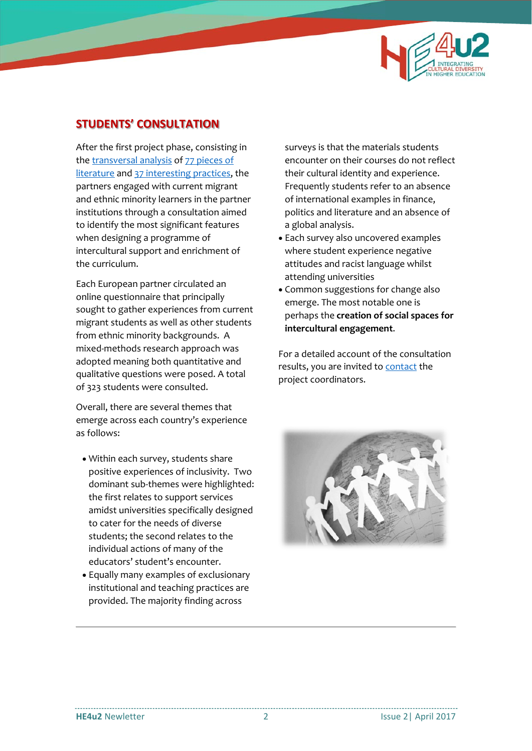

## **STUDENTS' CONSULTATION**

After the first project phase, consisting in the transversal analysis of 77 pieces of literature and 37 interesting practices, the partners engaged with current migrant and ethnic minority learners in the partner institutions through a consultation aimed to identify the most significant features when designing a programme of intercultural support and enrichment of the curriculum.

Each European partner circulated an online questionnaire that principally sought to gather experiences from current migrant students as well as other students from ethnic minority backgrounds. A mixed‐methods research approach was adopted meaning both quantitative and qualitative questions were posed. A total of 323 students were consulted.

Overall, there are several themes that emerge across each country's experience as follows:

- Within each survey, students share positive experiences of inclusivity. Two dominant sub-themes were highlighted: the first relates to support services amidst universities specifically designed to cater for the needs of diverse students; the second relates to the individual actions of many of the educators' student's encounter.
- Equally many examples of exclusionary institutional and teaching practices are provided. The majority finding across

surveys is that the materials students encounter on their courses do not reflect their cultural identity and experience. Frequently students refer to an absence of international examples in finance, politics and literature and an absence of a global analysis.

- Each survey also uncovered examples where student experience negative attitudes and racist language whilst attending universities
- Common suggestions for change also emerge. The most notable one is perhaps the **creation of social spaces for intercultural engagement**.

For a detailed account of the consultation results, you are invited to contact the project coordinators.

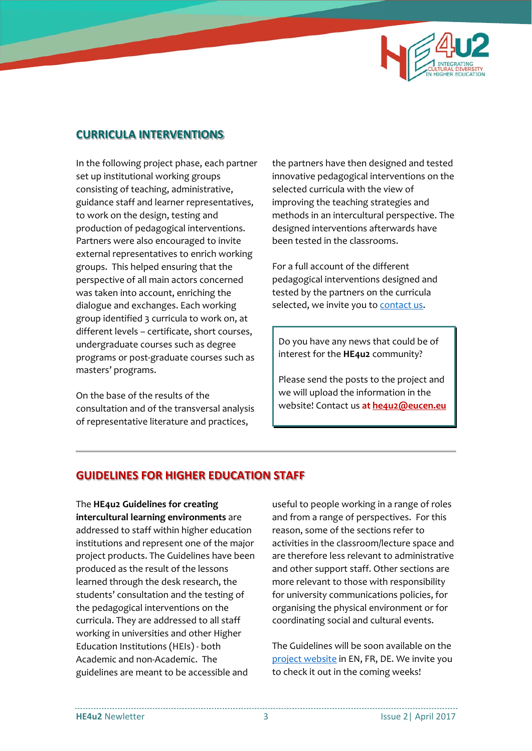

## **CURRICULA INTERVENTIONS**

In the following project phase, each partner set up institutional working groups consisting of teaching, administrative, guidance staff and learner representatives, to work on the design, testing and production of pedagogical interventions. Partners were also encouraged to invite external representatives to enrich working groups. This helped ensuring that the perspective of all main actors concerned was taken into account, enriching the dialogue and exchanges. Each working group identified 3 curricula to work on, at different levels – certificate, short courses, undergraduate courses such as degree programs or post‐graduate courses such as masters' programs.

On the base of the results of the consultation and of the transversal analysis of representative literature and practices,

the partners have then designed and tested innovative pedagogical interventions on the selected curricula with the view of improving the teaching strategies and methods in an intercultural perspective. The designed interventions afterwards have been tested in the classrooms.

For a full account of the different pedagogical interventions designed and tested by the partners on the curricula selected, we invite you to contact us.

Do you have any news that could be of interest for the **HE4u2** community?

Please send the posts to the project and we will upload the information in the website! Contact us **at he4u2@eucen.eu**

## **GUIDELINES FOR HIGHER EDUCATION STAFF**

The **HE4u2 Guidelines for creating intercultural learning environments** are addressed to staff within higher education institutions and represent one of the major project products. The Guidelines have been produced as the result of the lessons learned through the desk research, the students' consultation and the testing of the pedagogical interventions on the curricula. They are addressed to all staff working in universities and other Higher Education Institutions (HEIs) ‐ both Academic and non‐Academic. The guidelines are meant to be accessible and

useful to people working in a range of roles and from a range of perspectives. For this reason, some of the sections refer to activities in the classroom/lecture space and are therefore less relevant to administrative and other support staff. Other sections are more relevant to those with responsibility for university communications policies, for organising the physical environment or for coordinating social and cultural events.

The Guidelines will be soon available on the project website in EN, FR, DE. We invite you to check it out in the coming weeks!